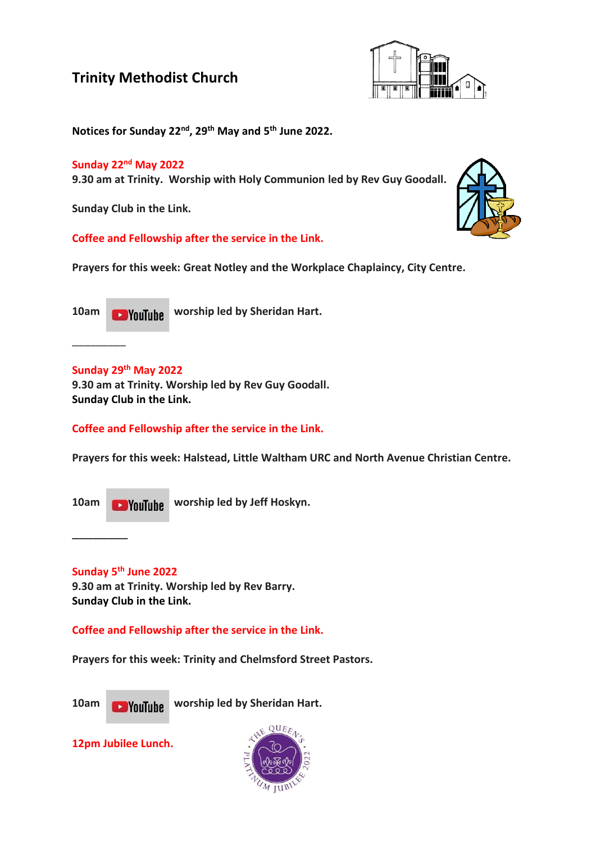

**Notices for Sunday 22nd , 29th May and 5 th June 2022.**

### **Sunday 22nd May 2022**

**9.30 am at Trinity. Worship with Holy Communion led by Rev Guy Goodall.**

**Sunday Club in the Link.**

**Coffee and Fellowship after the service in the Link.**

**Prayers for this week: Great Notley and the Workplace Chaplaincy, City Centre.**

**10am WALLIAM WORSHIP led by Sheridan Hart.** 

### **Sunday 29th May 2022**

\_\_\_\_\_\_\_\_\_

**9.30 am at Trinity. Worship led by Rev Guy Goodall. Sunday Club in the Link.**

### **Coffee and Fellowship after the service in the Link.**

**Prayers for this week: Halstead, Little Waltham URC and North Avenue Christian Centre.**

10am **Would Like Worship led by Jeff Hoskyn.** 

**Sunday 5 th June 2022**

\_\_\_\_\_\_\_\_

**9.30 am at Trinity. Worship led by Rev Barry. Sunday Club in the Link.**

**Coffee and Fellowship after the service in the Link.**

**Prayers for this week: Trinity and Chelmsford Street Pastors.**



10am **WALLING WORKER WORKERS** UP Sheridan Hart.

**12pm Jubilee Lunch.**



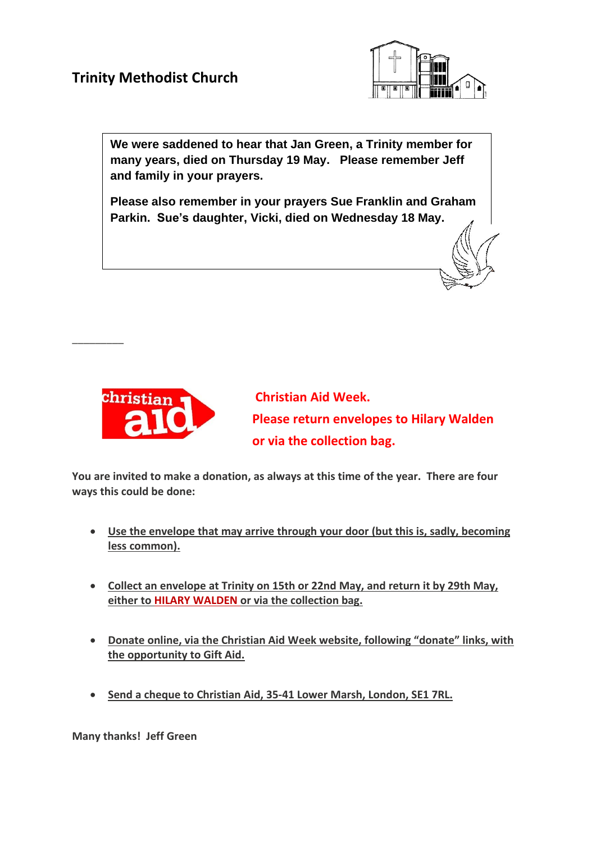

**We were saddened to hear that Jan Green, a Trinity member for many years, died on Thursday 19 May. Please remember Jeff and family in your prayers.**

**Please also remember in your prayers Sue Franklin and Graham Parkin. Sue's daughter, Vicki, died on Wednesday 18 May.** 



 $\overline{\phantom{a}}$  . The contract of the contract of the contract of the contract of the contract of the contract of the contract of the contract of the contract of the contract of the contract of the contract of the contract of

**Christian Aid Week. Please return envelopes to Hilary Walden or via the collection bag.**

**You are invited to make a donation, as always at this time of the year. There are four ways this could be done:**

- **Use the envelope that may arrive through your door (but this is, sadly, becoming less common).**
- **Collect an envelope at Trinity on 15th or 22nd May, and return it by 29th May, either to HILARY WALDEN or via the collection bag.**
- **Donate online, via the Christian Aid Week website, following "donate" links, with the opportunity to Gift Aid.**
- **Send a cheque to Christian Aid, 35-41 Lower Marsh, London, SE1 7RL.**

**Many thanks! Jeff Green**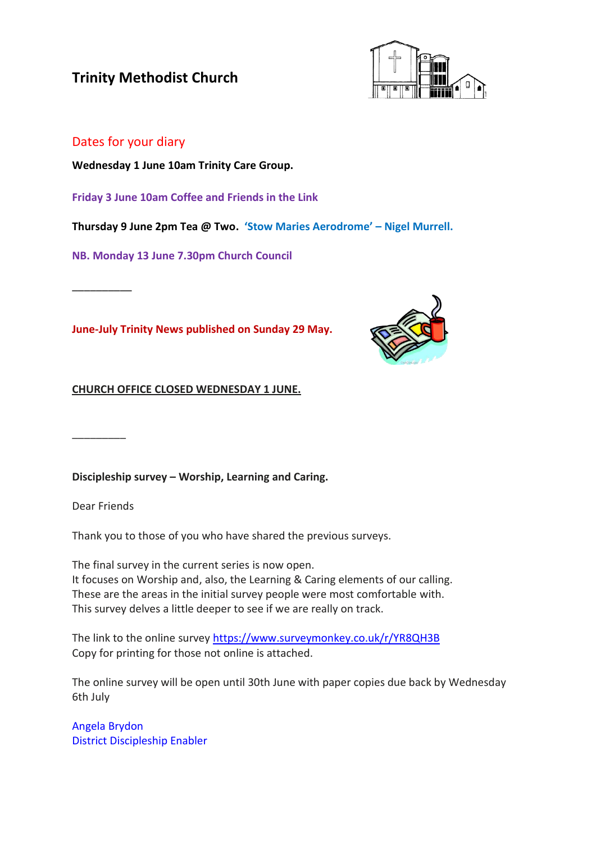

### Dates for your diary

**Wednesday 1 June 10am Trinity Care Group.**

**Friday 3 June 10am Coffee and Friends in the Link**

**Thursday 9 June 2pm Tea @ Two. 'Stow Maries Aerodrome' – Nigel Murrell.**

**NB. Monday 13 June 7.30pm Church Council**

**June-July Trinity News published on Sunday 29 May.**



**CHURCH OFFICE CLOSED WEDNESDAY 1 JUNE.**

**Discipleship survey – Worship, Learning and Caring.**

Dear Friends

\_\_\_\_\_\_\_\_\_

\_\_\_\_\_\_\_\_\_\_

Thank you to those of you who have shared the previous surveys.

The final survey in the current series is now open. It focuses on Worship and, also, the Learning & Caring elements of our calling. These are the areas in the initial survey people were most comfortable with. This survey delves a little deeper to see if we are really on track.

The link to the online survey <https://www.surveymonkey.co.uk/r/YR8QH3B> Copy for printing for those not online is attached.

The online survey will be open until 30th June with paper copies due back by Wednesday 6th July

Angela Brydon District Discipleship Enabler